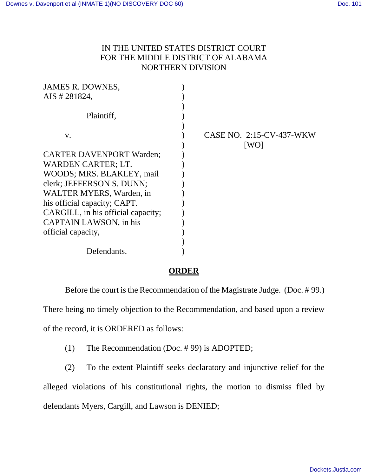## IN THE UNITED STATES DISTRICT COURT FOR THE MIDDLE DISTRICT OF ALABAMA NORTHERN DIVISION

| JAMES R. DOWNES,                   |                          |
|------------------------------------|--------------------------|
| AIS # 281824,                      |                          |
|                                    |                          |
| Plaintiff,                         |                          |
|                                    |                          |
| $V_{\star}$                        | CASE NO. 2:15-CV-437-WKW |
|                                    | [WO]                     |
| <b>CARTER DAVENPORT Warden;</b>    |                          |
| <b>WARDEN CARTER; LT.</b>          |                          |
| WOODS; MRS. BLAKLEY, mail          |                          |
| clerk; JEFFERSON S. DUNN;          |                          |
| WALTER MYERS, Warden, in           |                          |
| his official capacity; CAPT.       |                          |
| CARGILL, in his official capacity; |                          |
| CAPTAIN LAWSON, in his             |                          |
| official capacity,                 |                          |
|                                    |                          |
| Defendants.                        |                          |
|                                    |                          |

## **ORDER**

Before the court is the Recommendation of the Magistrate Judge. (Doc. # 99.) There being no timely objection to the Recommendation, and based upon a review of the record, it is ORDERED as follows:

- (1) The Recommendation (Doc. # 99) is ADOPTED;
- (2) To the extent Plaintiff seeks declaratory and injunctive relief for the alleged violations of his constitutional rights, the motion to dismiss filed by defendants Myers, Cargill, and Lawson is DENIED;